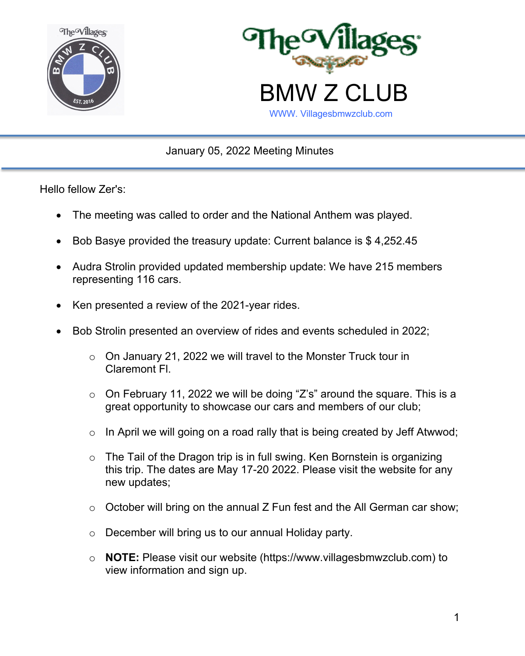



January 05, 2022 Meeting Minutes

Hello fellow Zer's:

- The meeting was called to order and the National Anthem was played.
- Bob Basye provided the treasury update: Current balance is \$ 4,252.45
- Audra Strolin provided updated membership update: We have 215 members representing 116 cars.
- Ken presented a review of the 2021-year rides.
- Bob Strolin presented an overview of rides and events scheduled in 2022;
	- $\circ$  On January 21, 2022 we will travel to the Monster Truck tour in Claremont Fl.
	- $\circ$  On February 11, 2022 we will be doing "Z's" around the square. This is a great opportunity to showcase our cars and members of our club;
	- $\circ$  In April we will going on a road rally that is being created by Jeff Atwwod;
	- $\circ$  The Tail of the Dragon trip is in full swing. Ken Bornstein is organizing this trip. The dates are May 17-20 2022. Please visit the website for any new updates;
	- $\circ$  October will bring on the annual Z Fun fest and the All German car show;
	- o December will bring us to our annual Holiday party.
	- o **NOTE:** Please visit our website (https://www.villagesbmwzclub.com) to view information and sign up.